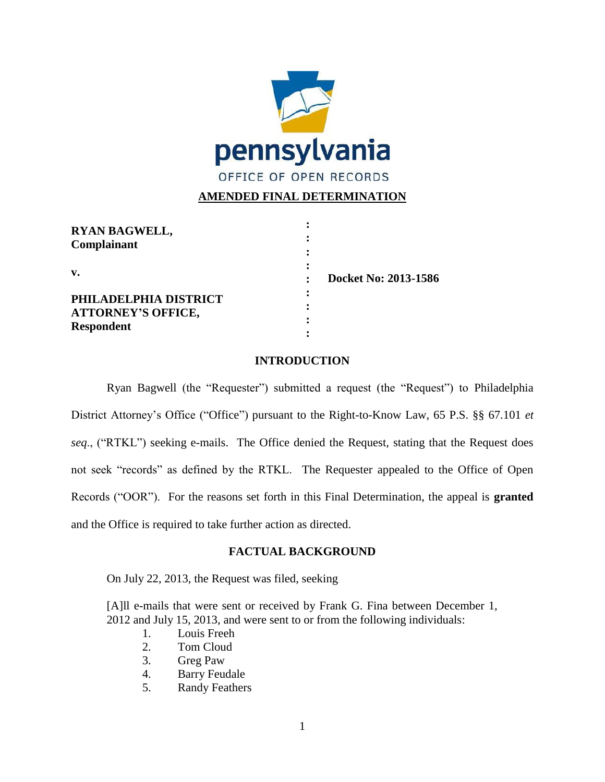

# **AMENDED FINAL DETERMINATION**

| <b>RYAN BAGWELL,</b><br>Complainant                                     |                      |
|-------------------------------------------------------------------------|----------------------|
| V.                                                                      | Docket No: 2013-1586 |
| PHILADELPHIA DISTRICT<br><b>ATTORNEY'S OFFICE,</b><br><b>Respondent</b> |                      |

## **INTRODUCTION**

Ryan Bagwell (the "Requester") submitted a request (the "Request") to Philadelphia District Attorney's Office ("Office") pursuant to the Right-to-Know Law, 65 P.S. §§ 67.101 *et seq.*, ("RTKL") seeking e-mails. The Office denied the Request, stating that the Request does not seek "records" as defined by the RTKL. The Requester appealed to the Office of Open Records ("OOR"). For the reasons set forth in this Final Determination, the appeal is **granted** and the Office is required to take further action as directed.

## **FACTUAL BACKGROUND**

On July 22, 2013, the Request was filed, seeking

[A]ll e-mails that were sent or received by Frank G. Fina between December 1, 2012 and July 15, 2013, and were sent to or from the following individuals:

- 1. Louis Freeh
- 2. Tom Cloud
- 3. Greg Paw
- 4. Barry Feudale
- 5. Randy Feathers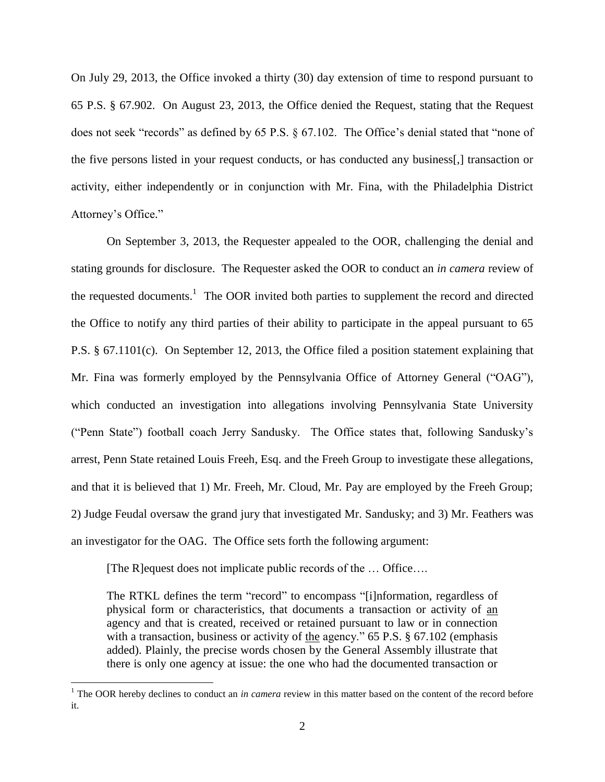On July 29, 2013, the Office invoked a thirty (30) day extension of time to respond pursuant to 65 P.S. § 67.902. On August 23, 2013, the Office denied the Request, stating that the Request does not seek "records" as defined by  $65$  P.S.  $\S$   $67.102$ . The Office's denial stated that "none of the five persons listed in your request conducts, or has conducted any business[,] transaction or activity, either independently or in conjunction with Mr. Fina, with the Philadelphia District Attorney's Office."

On September 3, 2013, the Requester appealed to the OOR, challenging the denial and stating grounds for disclosure. The Requester asked the OOR to conduct an *in camera* review of the requested documents.<sup>1</sup> The OOR invited both parties to supplement the record and directed the Office to notify any third parties of their ability to participate in the appeal pursuant to 65 P.S. § 67.1101(c). On September 12, 2013, the Office filed a position statement explaining that Mr. Fina was formerly employed by the Pennsylvania Office of Attorney General ("OAG"), which conducted an investigation into allegations involving Pennsylvania State University (―Penn State‖) football coach Jerry Sandusky. The Office states that, following Sandusky's arrest, Penn State retained Louis Freeh, Esq. and the Freeh Group to investigate these allegations, and that it is believed that 1) Mr. Freeh, Mr. Cloud, Mr. Pay are employed by the Freeh Group; 2) Judge Feudal oversaw the grand jury that investigated Mr. Sandusky; and 3) Mr. Feathers was an investigator for the OAG. The Office sets forth the following argument:

[The R]equest does not implicate public records of the … Office….

 $\overline{a}$ 

The RTKL defines the term "record" to encompass "[i]nformation, regardless of physical form or characteristics, that documents a transaction or activity of an agency and that is created, received or retained pursuant to law or in connection with a transaction, business or activity of the agency."  $65$  P.S.  $\S$   $67.102$  (emphasis added). Plainly, the precise words chosen by the General Assembly illustrate that there is only one agency at issue: the one who had the documented transaction or

<sup>&</sup>lt;sup>1</sup> The OOR hereby declines to conduct an *in camera* review in this matter based on the content of the record before it.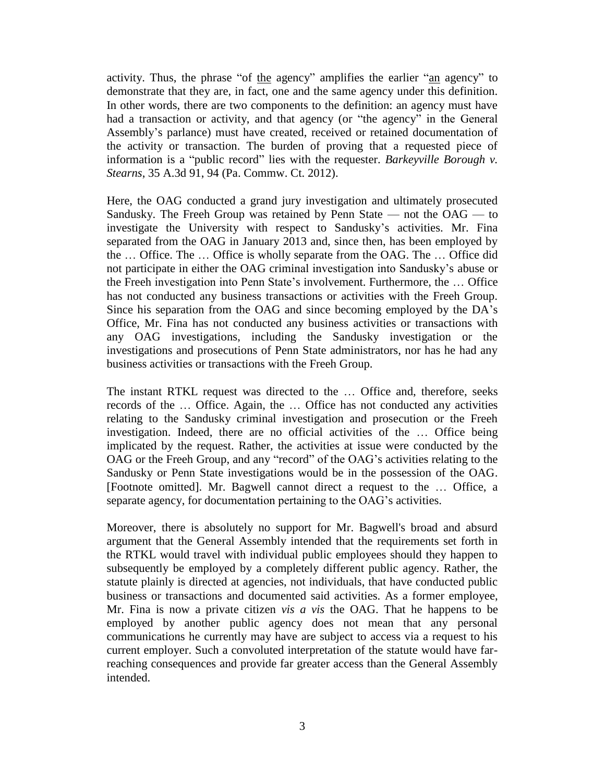activity. Thus, the phrase "of the agency" amplifies the earlier "an agency" to demonstrate that they are, in fact, one and the same agency under this definition. In other words, there are two components to the definition: an agency must have had a transaction or activity, and that agency (or "the agency" in the General Assembly's parlance) must have created, received or retained documentation of the activity or transaction. The burden of proving that a requested piece of information is a "public record" lies with the requester. *Barkeyville Borough v. Stearns*, 35 A.3d 91, 94 (Pa. Commw. Ct. 2012).

Here, the OAG conducted a grand jury investigation and ultimately prosecuted Sandusky. The Freeh Group was retained by Penn State — not the OAG — to investigate the University with respect to Sandusky's activities. Mr. Fina separated from the OAG in January 2013 and, since then, has been employed by the … Office. The … Office is wholly separate from the OAG. The … Office did not participate in either the OAG criminal investigation into Sandusky's abuse or the Freeh investigation into Penn State's involvement. Furthermore, the … Office has not conducted any business transactions or activities with the Freeh Group. Since his separation from the OAG and since becoming employed by the DA's Office, Mr. Fina has not conducted any business activities or transactions with any OAG investigations, including the Sandusky investigation or the investigations and prosecutions of Penn State administrators, nor has he had any business activities or transactions with the Freeh Group.

The instant RTKL request was directed to the … Office and, therefore, seeks records of the … Office. Again, the … Office has not conducted any activities relating to the Sandusky criminal investigation and prosecution or the Freeh investigation. Indeed, there are no official activities of the … Office being implicated by the request. Rather, the activities at issue were conducted by the OAG or the Freeh Group, and any "record" of the OAG's activities relating to the Sandusky or Penn State investigations would be in the possession of the OAG. [Footnote omitted]. Mr. Bagwell cannot direct a request to the … Office, a separate agency, for documentation pertaining to the OAG's activities.

Moreover, there is absolutely no support for Mr. Bagwell's broad and absurd argument that the General Assembly intended that the requirements set forth in the RTKL would travel with individual public employees should they happen to subsequently be employed by a completely different public agency. Rather, the statute plainly is directed at agencies, not individuals, that have conducted public business or transactions and documented said activities. As a former employee, Mr. Fina is now a private citizen *vis a vis* the OAG. That he happens to be employed by another public agency does not mean that any personal communications he currently may have are subject to access via a request to his current employer. Such a convoluted interpretation of the statute would have farreaching consequences and provide far greater access than the General Assembly intended.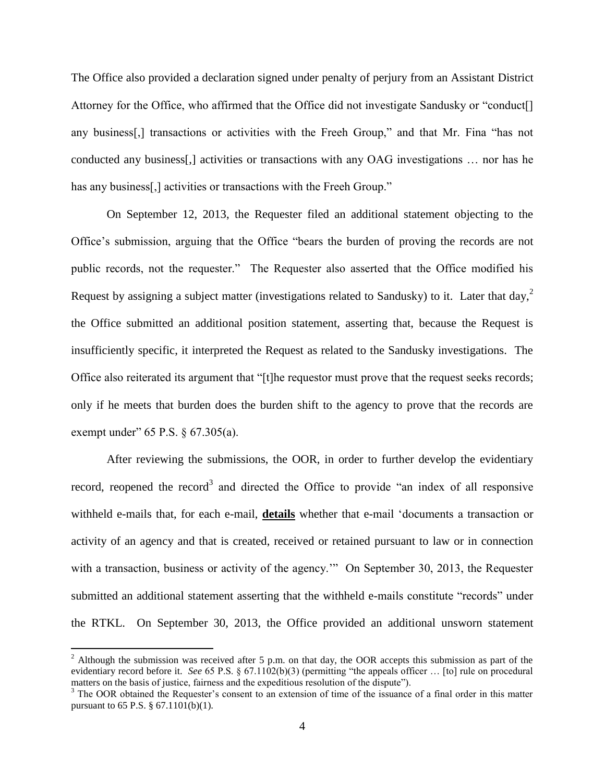The Office also provided a declaration signed under penalty of perjury from an Assistant District Attorney for the Office, who affirmed that the Office did not investigate Sandusky or "conduct<sup>[]</sup> any business<sup>[1]</sup>, transactions or activities with the Freeh Group," and that Mr. Fina "has not conducted any business[,] activities or transactions with any OAG investigations … nor has he has any business<sup>[1]</sup>, activities or transactions with the Freeh Group."

On September 12, 2013, the Requester filed an additional statement objecting to the Office's submission, arguing that the Office "bears the burden of proving the records are not public records, not the requester.‖ The Requester also asserted that the Office modified his Request by assigning a subject matter (investigations related to Sandusky) to it. Later that day,<sup>2</sup> the Office submitted an additional position statement, asserting that, because the Request is insufficiently specific, it interpreted the Request as related to the Sandusky investigations. The Office also reiterated its argument that "[t]he requestor must prove that the request seeks records; only if he meets that burden does the burden shift to the agency to prove that the records are exempt under"  $65$  P.S.  $§$   $67.305(a)$ .

After reviewing the submissions, the OOR, in order to further develop the evidentiary record, reopened the record<sup>3</sup> and directed the Office to provide "an index of all responsive withheld e-mails that, for each e-mail, **details** whether that e-mail 'documents a transaction or activity of an agency and that is created, received or retained pursuant to law or in connection with a transaction, business or activity of the agency." On September 30, 2013, the Requester submitted an additional statement asserting that the withheld e-mails constitute "records" under the RTKL. On September 30, 2013, the Office provided an additional unsworn statement

 $\overline{a}$ 

 $2$  Although the submission was received after 5 p.m. on that day, the OOR accepts this submission as part of the evidentiary record before it. *See* 65 P.S.  $\S$  67.1102(b)(3) (permitting "the appeals officer ... [to] rule on procedural matters on the basis of justice, fairness and the expeditious resolution of the dispute").

<sup>&</sup>lt;sup>3</sup> The OOR obtained the Requester's consent to an extension of time of the issuance of a final order in this matter pursuant to 65 P.S. § 67.1101(b)(1).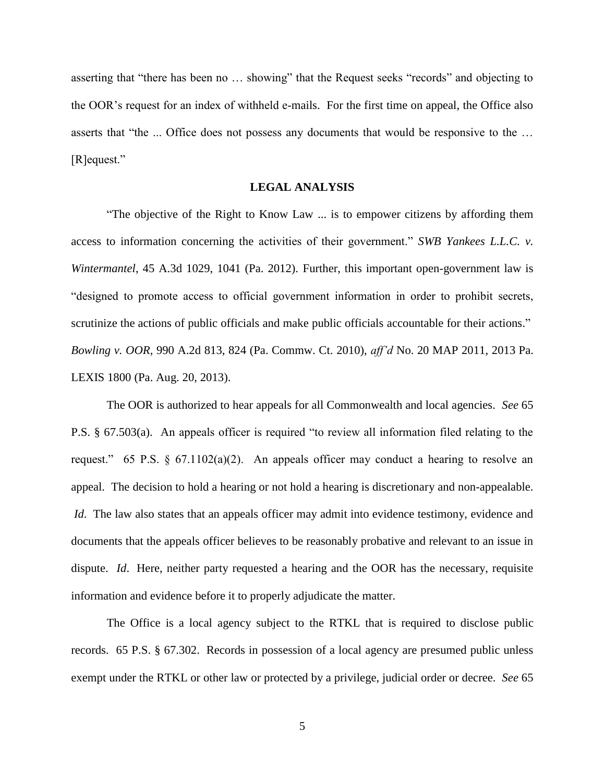asserting that "there has been no ... showing" that the Request seeks "records" and objecting to the OOR's request for an index of withheld e-mails. For the first time on appeal, the Office also asserts that "the ... Office does not possess any documents that would be responsive to the ... [R]equest."

### **LEGAL ANALYSIS**

"The objective of the Right to Know Law ... is to empower citizens by affording them access to information concerning the activities of their government." *SWB Yankees L.L.C. v. Wintermantel*, 45 A.3d 1029, 1041 (Pa. 2012). Further, this important open-government law is ―designed to promote access to official government information in order to prohibit secrets, scrutinize the actions of public officials and make public officials accountable for their actions." *Bowling v. OOR*, 990 A.2d 813, 824 (Pa. Commw. Ct. 2010), *aff'd* No. 20 MAP 2011, 2013 Pa. LEXIS 1800 (Pa. Aug. 20, 2013).

The OOR is authorized to hear appeals for all Commonwealth and local agencies. *See* 65 P.S.  $\S$  67.503(a). An appeals officer is required "to review all information filed relating to the request." 65 P.S. § 67.1102(a)(2). An appeals officer may conduct a hearing to resolve an appeal. The decision to hold a hearing or not hold a hearing is discretionary and non-appealable. *Id*. The law also states that an appeals officer may admit into evidence testimony, evidence and documents that the appeals officer believes to be reasonably probative and relevant to an issue in dispute. *Id*. Here, neither party requested a hearing and the OOR has the necessary, requisite information and evidence before it to properly adjudicate the matter.

The Office is a local agency subject to the RTKL that is required to disclose public records. 65 P.S. § 67.302. Records in possession of a local agency are presumed public unless exempt under the RTKL or other law or protected by a privilege, judicial order or decree. *See* 65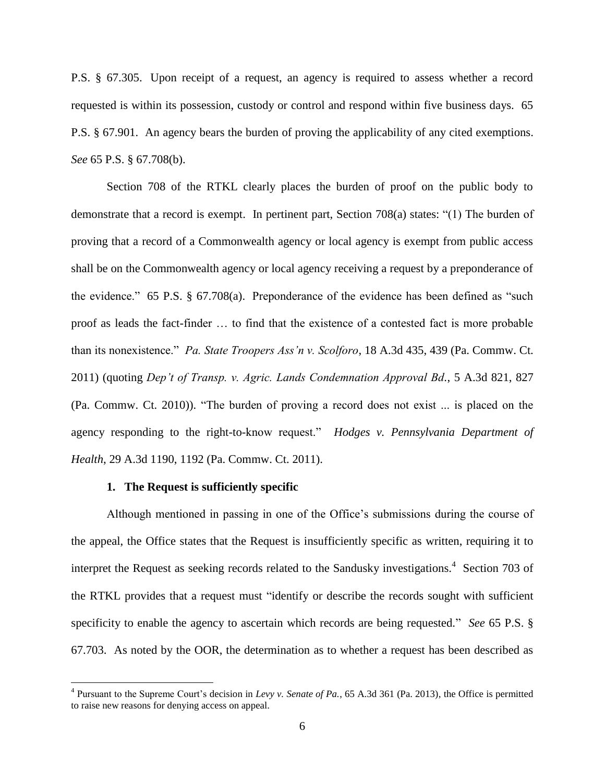P.S. § 67.305. Upon receipt of a request, an agency is required to assess whether a record requested is within its possession, custody or control and respond within five business days. 65 P.S. § 67.901. An agency bears the burden of proving the applicability of any cited exemptions. *See* 65 P.S. § 67.708(b).

Section 708 of the RTKL clearly places the burden of proof on the public body to demonstrate that a record is exempt. In pertinent part, Section  $708(a)$  states: "(1) The burden of proving that a record of a Commonwealth agency or local agency is exempt from public access shall be on the Commonwealth agency or local agency receiving a request by a preponderance of the evidence." 65 P.S.  $\S$  67.708(a). Preponderance of the evidence has been defined as "such proof as leads the fact-finder … to find that the existence of a contested fact is more probable than its nonexistence.‖ *Pa. State Troopers Ass'n v. Scolforo*, 18 A.3d 435, 439 (Pa. Commw. Ct. 2011) (quoting *Dep't of Transp. v. Agric. Lands Condemnation Approval Bd.*, 5 A.3d 821, 827 (Pa. Commw. Ct. 2010)). "The burden of proving a record does not exist ... is placed on the agency responding to the right-to-know request." *Hodges v. Pennsylvania Department of Health*, 29 A.3d 1190, 1192 (Pa. Commw. Ct. 2011).

### **1. The Request is sufficiently specific**

 $\overline{a}$ 

Although mentioned in passing in one of the Office's submissions during the course of the appeal, the Office states that the Request is insufficiently specific as written, requiring it to interpret the Request as seeking records related to the Sandusky investigations.<sup>4</sup> Section 703 of the RTKL provides that a request must "identify or describe the records sought with sufficient specificity to enable the agency to ascertain which records are being requested." *See* 65 P.S. § 67.703. As noted by the OOR, the determination as to whether a request has been described as

<sup>4</sup> Pursuant to the Supreme Court's decision in *Levy v. Senate of Pa.*, 65 A.3d 361 (Pa. 2013), the Office is permitted to raise new reasons for denying access on appeal.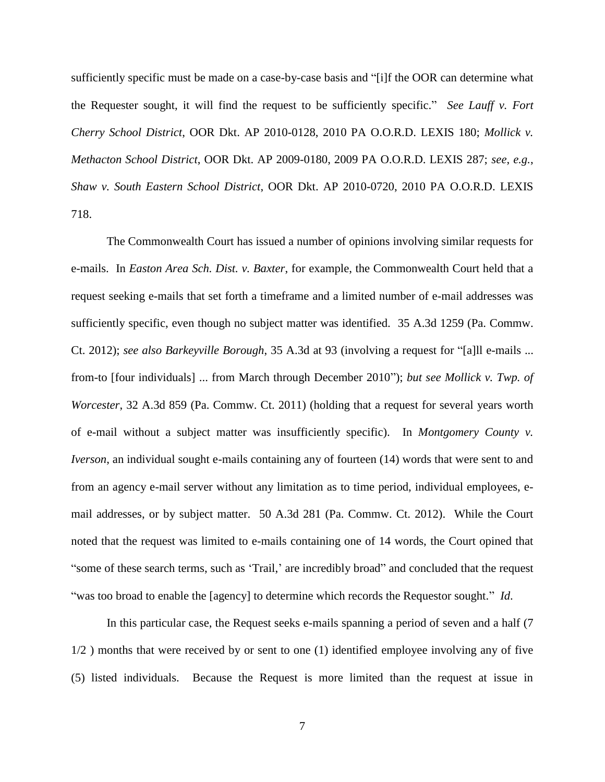sufficiently specific must be made on a case-by-case basis and "[i]f the OOR can determine what the Requester sought, it will find the request to be sufficiently specific.‖ *See Lauff v. Fort Cherry School District*, OOR Dkt. AP 2010-0128, 2010 PA O.O.R.D. LEXIS 180; *Mollick v. Methacton School District*, OOR Dkt. AP 2009-0180, 2009 PA O.O.R.D. LEXIS 287; *see*, *e.g.*, *Shaw v. South Eastern School District*, OOR Dkt. AP 2010-0720, 2010 PA O.O.R.D. LEXIS 718.

The Commonwealth Court has issued a number of opinions involving similar requests for e-mails. In *Easton Area Sch. Dist. v. Baxter*, for example, the Commonwealth Court held that a request seeking e-mails that set forth a timeframe and a limited number of e-mail addresses was sufficiently specific, even though no subject matter was identified. 35 A.3d 1259 (Pa. Commw. Ct. 2012); *see also Barkeyville Borough*, 35 A.3d at 93 (involving a request for "[a]ll e-mails ... from-to [four individuals] ... from March through December 2010"); *but see Mollick v. Twp. of Worcester*, 32 A.3d 859 (Pa. Commw. Ct. 2011) (holding that a request for several years worth of e-mail without a subject matter was insufficiently specific). In *Montgomery County v. Iverson*, an individual sought e-mails containing any of fourteen (14) words that were sent to and from an agency e-mail server without any limitation as to time period, individual employees, email addresses, or by subject matter. 50 A.3d 281 (Pa. Commw. Ct. 2012). While the Court noted that the request was limited to e-mails containing one of 14 words, the Court opined that "some of these search terms, such as 'Trail,' are incredibly broad" and concluded that the request "was too broad to enable the [agency] to determine which records the Requestor sought." *Id*.

In this particular case, the Request seeks e-mails spanning a period of seven and a half (7 1/2 ) months that were received by or sent to one (1) identified employee involving any of five (5) listed individuals. Because the Request is more limited than the request at issue in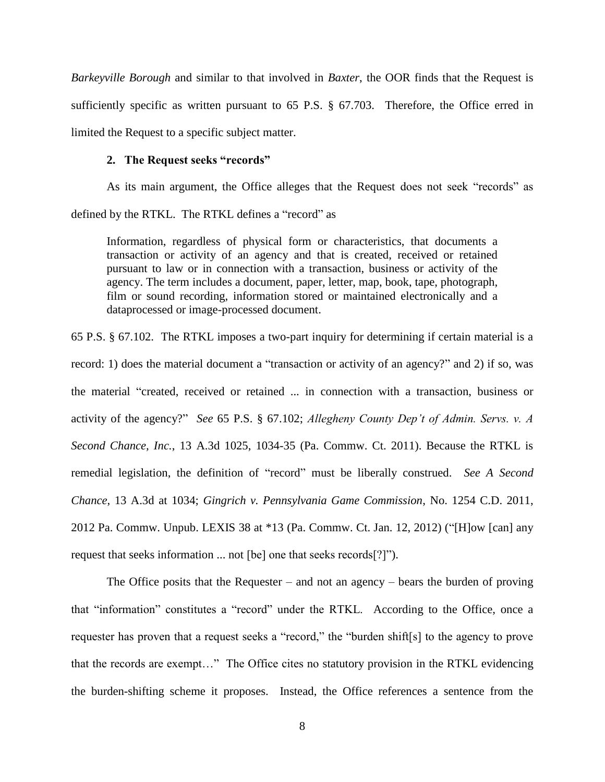*Barkeyville Borough* and similar to that involved in *Baxter*, the OOR finds that the Request is sufficiently specific as written pursuant to 65 P.S. § 67.703. Therefore, the Office erred in limited the Request to a specific subject matter.

### **2. The Request seeks "records"**

As its main argument, the Office alleges that the Request does not seek "records" as defined by the RTKL. The RTKL defines a "record" as

Information, regardless of physical form or characteristics, that documents a transaction or activity of an agency and that is created, received or retained pursuant to law or in connection with a transaction, business or activity of the agency. The term includes a document, paper, letter, map, book, tape, photograph, film or sound recording, information stored or maintained electronically and a dataprocessed or image-processed document.

65 P.S. § 67.102. The RTKL imposes a two-part inquiry for determining if certain material is a record: 1) does the material document a "transaction or activity of an agency?" and 2) if so, was the material "created, received or retained ... in connection with a transaction, business or activity of the agency?" *See* 65 P.S. § 67.102; *Allegheny County Dep't of Admin. Servs. v. A Second Chance, Inc.*, 13 A.3d 1025, 1034-35 (Pa. Commw. Ct. 2011). Because the RTKL is remedial legislation, the definition of "record" must be liberally construed. *See A Second Chance*, 13 A.3d at 1034; *Gingrich v. Pennsylvania Game Commission*, No. 1254 C.D. 2011, 2012 Pa. Commw. Unpub. LEXIS 38 at  $*13$  (Pa. Commw. Ct. Jan. 12, 2012) ("[H]ow [can] any request that seeks information ... not [be] one that seeks records[?]").

The Office posits that the Requester – and not an agency – bears the burden of proving that "information" constitutes a "record" under the RTKL. According to the Office, once a requester has proven that a request seeks a "record," the "burden shift[s] to the agency to prove that the records are exempt..." The Office cites no statutory provision in the RTKL evidencing the burden-shifting scheme it proposes. Instead, the Office references a sentence from the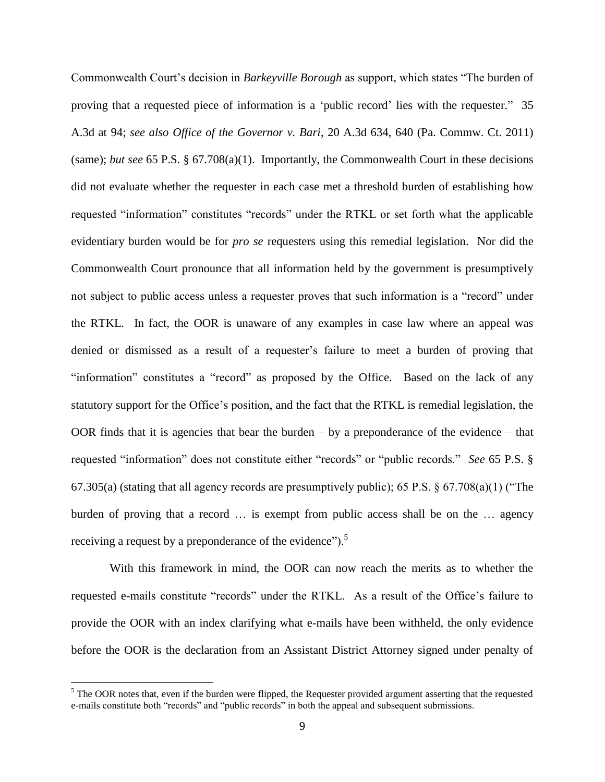Commonwealth Court's decision in *Barkeyville Borough* as support, which states "The burden of proving that a requested piece of information is a 'public record' lies with the requester." 35 A.3d at 94; *see also Office of the Governor v. Bari*, 20 A.3d 634, 640 (Pa. Commw. Ct. 2011) (same); *but see* 65 P.S. § 67.708(a)(1). Importantly, the Commonwealth Court in these decisions did not evaluate whether the requester in each case met a threshold burden of establishing how requested "information" constitutes "records" under the RTKL or set forth what the applicable evidentiary burden would be for *pro se* requesters using this remedial legislation. Nor did the Commonwealth Court pronounce that all information held by the government is presumptively not subject to public access unless a requester proves that such information is a "record" under the RTKL. In fact, the OOR is unaware of any examples in case law where an appeal was denied or dismissed as a result of a requester's failure to meet a burden of proving that "information" constitutes a "record" as proposed by the Office. Based on the lack of any statutory support for the Office's position, and the fact that the RTKL is remedial legislation, the OOR finds that it is agencies that bear the burden  $-$  by a preponderance of the evidence  $-$  that requested "information" does not constitute either "records" or "public records." *See* 65 P.S. § 67.305(a) (stating that all agency records are presumptively public); 65 P.S.  $\S$  67.708(a)(1) ("The burden of proving that a record … is exempt from public access shall be on the … agency receiving a request by a preponderance of the evidence".<sup>5</sup>

With this framework in mind, the OOR can now reach the merits as to whether the requested e-mails constitute "records" under the RTKL. As a result of the Office's failure to provide the OOR with an index clarifying what e-mails have been withheld, the only evidence before the OOR is the declaration from an Assistant District Attorney signed under penalty of

 $\overline{a}$ 

<sup>&</sup>lt;sup>5</sup> The OOR notes that, even if the burden were flipped, the Requester provided argument asserting that the requested e-mails constitute both "records" and "public records" in both the appeal and subsequent submissions.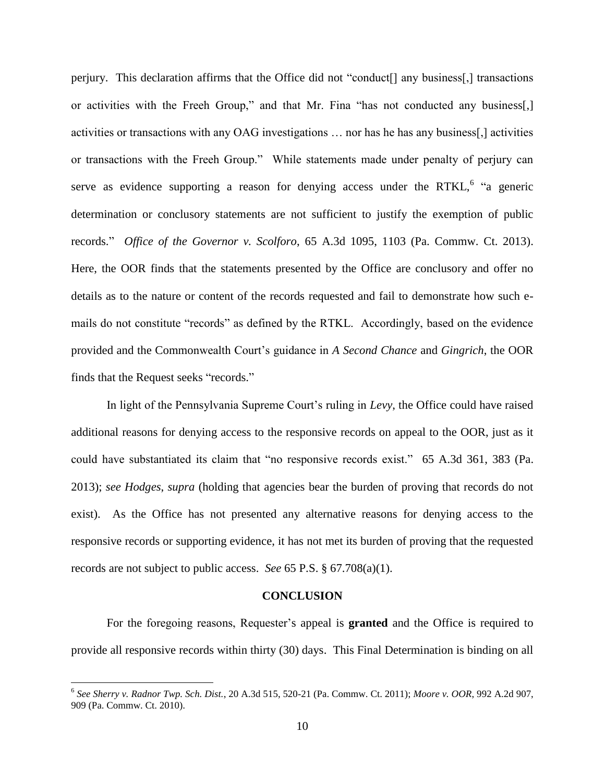perjury. This declaration affirms that the Office did not "conduct<sup>[]</sup> any business<sup>[1]</sup>, transactions or activities with the Freeh Group," and that Mr. Fina "has not conducted any business[,] activities or transactions with any OAG investigations … nor has he has any business[,] activities or transactions with the Freeh Group." While statements made under penalty of perjury can serve as evidence supporting a reason for denying access under the RTKL,  $6$  "a generic determination or conclusory statements are not sufficient to justify the exemption of public records.‖ *Office of the Governor v. Scolforo*, 65 A.3d 1095, 1103 (Pa. Commw. Ct. 2013). Here, the OOR finds that the statements presented by the Office are conclusory and offer no details as to the nature or content of the records requested and fail to demonstrate how such emails do not constitute "records" as defined by the RTKL. Accordingly, based on the evidence provided and the Commonwealth Court's guidance in *A Second Chance* and *Gingrich*, the OOR finds that the Request seeks "records."

In light of the Pennsylvania Supreme Court's ruling in *Levy*, the Office could have raised additional reasons for denying access to the responsive records on appeal to the OOR, just as it could have substantiated its claim that "no responsive records exist." 65 A.3d 361, 383 (Pa. 2013); *see Hodges*, *supra* (holding that agencies bear the burden of proving that records do not exist). As the Office has not presented any alternative reasons for denying access to the responsive records or supporting evidence, it has not met its burden of proving that the requested records are not subject to public access. *See* 65 P.S. § 67.708(a)(1).

#### **CONCLUSION**

For the foregoing reasons, Requester's appeal is **granted** and the Office is required to provide all responsive records within thirty (30) days. This Final Determination is binding on all

 $\overline{a}$ 

<sup>6</sup> *See Sherry v. Radnor Twp. Sch. Dist.*, 20 A.3d 515, 520-21 (Pa. Commw. Ct. 2011); *Moore v. OOR*, 992 A.2d 907, 909 (Pa. Commw. Ct. 2010).